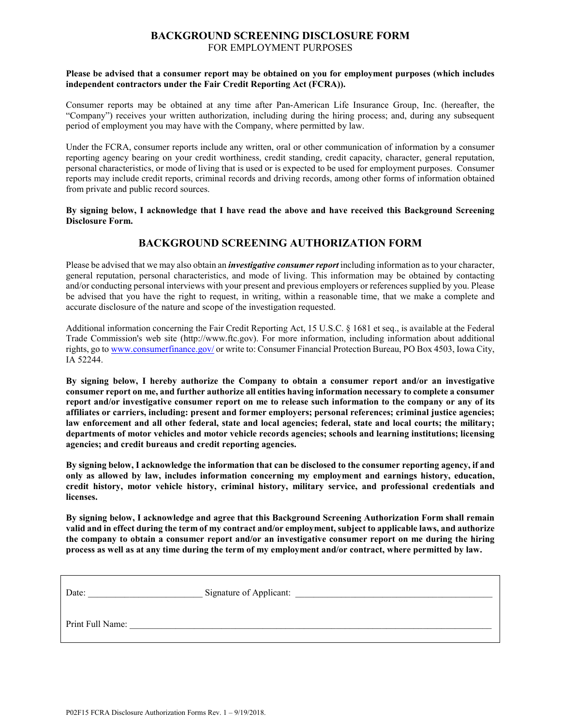# **BACKGROUND SCREENING DISCLOSURE FORM** FOR EMPLOYMENT PURPOSES

#### **Please be advised that a consumer report may be obtained on you for employment purposes (which includes independent contractors under the Fair Credit Reporting Act (FCRA)).**

Consumer reports may be obtained at any time after Pan-American Life Insurance Group, Inc. (hereafter, the "Company") receives your written authorization, including during the hiring process; and, during any subsequent period of employment you may have with the Company, where permitted by law.

Under the FCRA, consumer reports include any written, oral or other communication of information by a consumer reporting agency bearing on your credit worthiness, credit standing, credit capacity, character, general reputation, personal characteristics, or mode of living that is used or is expected to be used for employment purposes. Consumer reports may include credit reports, criminal records and driving records, among other forms of information obtained from private and public record sources.

**By signing below, I acknowledge that I have read the above and have received this Background Screening Disclosure Form.**

# **BACKGROUND SCREENING AUTHORIZATION FORM**

Please be advised that we may also obtain an *investigative consumer report* including information as to your character, general reputation, personal characteristics, and mode of living. This information may be obtained by contacting and/or conducting personal interviews with your present and previous employers or references supplied by you. Please be advised that you have the right to request, in writing, within a reasonable time, that we make a complete and accurate disclosure of the nature and scope of the investigation requested.

Additional information concerning the Fair Credit Reporting Act, 15 U.S.C. § 1681 et seq., is available at the Federal Trade Commission's web site (http://www.ftc.gov). For more information, including information about additional rights, go to [www.consumerfinance.gov/](http://www.consumerfinance.gov/) or write to: Consumer Financial Protection Bureau, PO Box 4503, Iowa City, IA 52244.

**By signing below, I hereby authorize the Company to obtain a consumer report and/or an investigative consumer report on me, and further authorize all entities having information necessary to complete a consumer report and/or investigative consumer report on me to release such information to the company or any of its affiliates or carriers, including: present and former employers; personal references; criminal justice agencies;** law enforcement and all other federal, state and local agencies; federal, state and local courts; the military; **departments of motor vehicles and motor vehicle records agencies; schools and learning institutions; licensing agencies; and credit bureaus and credit reporting agencies.** 

**By signing below, I acknowledge the information that can be disclosed to the consumer reporting agency, if and only as allowed by law, includes information concerning my employment and earnings history, education, credit history, motor vehicle history, criminal history, military service, and professional credentials and licenses.**

**By signing below, I acknowledge and agree that this Background Screening Authorization Form shall remain valid and in effect during the term of my contract and/or employment, subject to applicable laws, and authorize the company to obtain a consumer report and/or an investigative consumer report on me during the hiring process as well as at any time during the term of my employment and/or contract, where permitted by law.**

| Date:            | Signature of Applicant: |
|------------------|-------------------------|
| Print Full Name: |                         |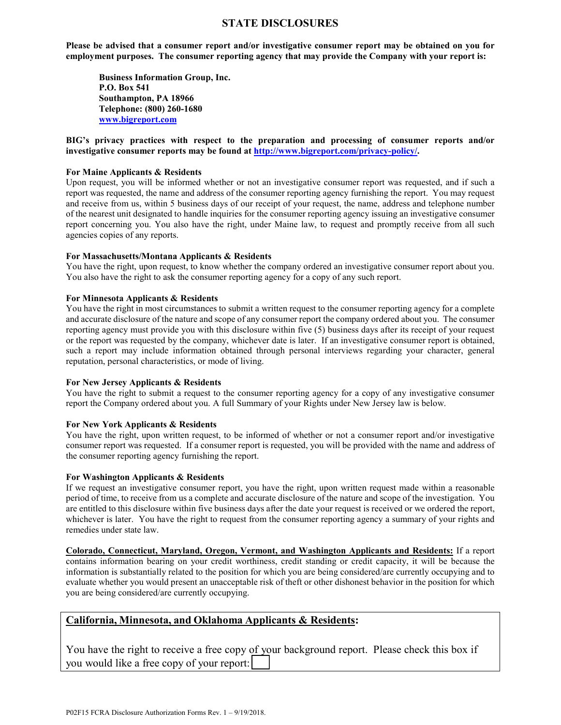## **STATE DISCLOSURES**

**Please be advised that a consumer report and/or investigative consumer report may be obtained on you for employment purposes. The consumer reporting agency that may provide the Company with your report is:** 

**Business Information Group, Inc. P.O. Box 541 Southampton, PA 18966 Telephone: (800) 260-1680 [www.bigreport.com](http://www.bigreport.com/)**

**BIG's privacy practices with respect to the preparation and processing of consumer reports and/or investigative consumer reports may be found at [http://www.bigreport.com/privacy-policy/.](http://www.bigreport.com/privacy-policy/)**

### **For Maine Applicants & Residents**

Upon request, you will be informed whether or not an investigative consumer report was requested, and if such a report was requested, the name and address of the consumer reporting agency furnishing the report. You may request and receive from us, within 5 business days of our receipt of your request, the name, address and telephone number of the nearest unit designated to handle inquiries for the consumer reporting agency issuing an investigative consumer report concerning you. You also have the right, under Maine law, to request and promptly receive from all such agencies copies of any reports.

### **For Massachusetts/Montana Applicants & Residents**

You have the right, upon request, to know whether the company ordered an investigative consumer report about you. You also have the right to ask the consumer reporting agency for a copy of any such report.

### **For Minnesota Applicants & Residents**

You have the right in most circumstances to submit a written request to the consumer reporting agency for a complete and accurate disclosure of the nature and scope of any consumer report the company ordered about you. The consumer reporting agency must provide you with this disclosure within five (5) business days after its receipt of your request or the report was requested by the company, whichever date is later. If an investigative consumer report is obtained, such a report may include information obtained through personal interviews regarding your character, general reputation, personal characteristics, or mode of living.

#### **For New Jersey Applicants & Residents**

You have the right to submit a request to the consumer reporting agency for a copy of any investigative consumer report the Company ordered about you. A full Summary of your Rights under New Jersey law is below.

#### **For New York Applicants & Residents**

You have the right, upon written request, to be informed of whether or not a consumer report and/or investigative consumer report was requested. If a consumer report is requested, you will be provided with the name and address of the consumer reporting agency furnishing the report.

### **For Washington Applicants & Residents**

If we request an investigative consumer report, you have the right, upon written request made within a reasonable period of time, to receive from us a complete and accurate disclosure of the nature and scope of the investigation. You are entitled to this disclosure within five business days after the date your request is received or we ordered the report, whichever is later. You have the right to request from the consumer reporting agency a summary of your rights and remedies under state law.

**Colorado, Connecticut, Maryland, Oregon, Vermont, and Washington Applicants and Residents:** If a report contains information bearing on your credit worthiness, credit standing or credit capacity, it will be because the information is substantially related to the position for which you are being considered/are currently occupying and to evaluate whether you would present an unacceptable risk of theft or other dishonest behavior in the position for which you are being considered/are currently occupying.

# **California, Minnesota, and Oklahoma Applicants & Residents:**

You have the right to receive a free copy of your background report. Please check this box if you would like a free copy of your report: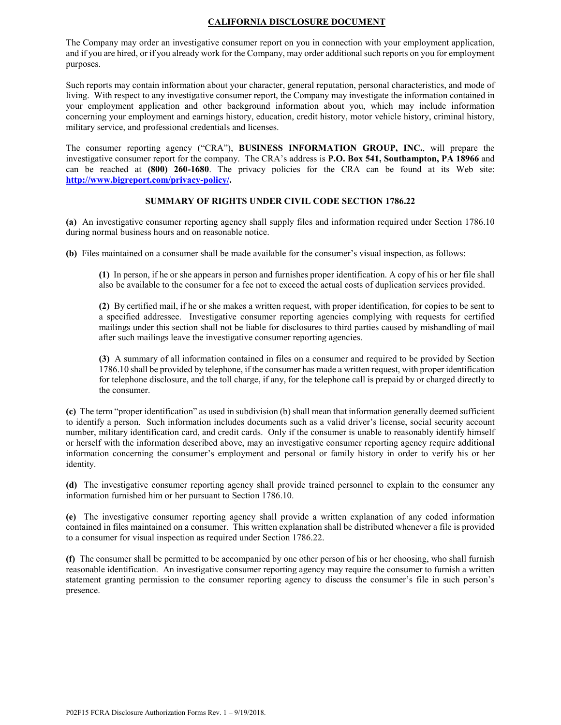### **CALIFORNIA DISCLOSURE DOCUMENT**

The Company may order an investigative consumer report on you in connection with your employment application, and if you are hired, or if you already work for the Company, may order additional such reports on you for employment purposes.

Such reports may contain information about your character, general reputation, personal characteristics, and mode of living. With respect to any investigative consumer report, the Company may investigate the information contained in your employment application and other background information about you, which may include information concerning your employment and earnings history, education, credit history, motor vehicle history, criminal history, military service, and professional credentials and licenses.

The consumer reporting agency ("CRA"), **BUSINESS INFORMATION GROUP, INC.**, will prepare the investigative consumer report for the company. The CRA's address is **P.O. Box 541, Southampton, PA 18966** and can be reached at **(800) 260-1680**. The privacy policies for the CRA can be found at its Web site: **[http://www.bigreport.com/privacy-policy/.](http://www.bigreport.com/privacy-policy/)**

### **SUMMARY OF RIGHTS UNDER CIVIL CODE SECTION 1786.22**

**(a)** An investigative consumer reporting agency shall supply files and information required under Section 1786.10 during normal business hours and on reasonable notice.

**(b)** Files maintained on a consumer shall be made available for the consumer's visual inspection, as follows:

**(1)** In person, if he or she appears in person and furnishes proper identification. A copy of his or her file shall also be available to the consumer for a fee not to exceed the actual costs of duplication services provided.

**(2)** By certified mail, if he or she makes a written request, with proper identification, for copies to be sent to a specified addressee. Investigative consumer reporting agencies complying with requests for certified mailings under this section shall not be liable for disclosures to third parties caused by mishandling of mail after such mailings leave the investigative consumer reporting agencies.

**(3)** A summary of all information contained in files on a consumer and required to be provided by Section 1786.10 shall be provided by telephone, if the consumer has made a written request, with proper identification for telephone disclosure, and the toll charge, if any, for the telephone call is prepaid by or charged directly to the consumer.

**(c)** The term "proper identification" as used in subdivision (b) shall mean that information generally deemed sufficient to identify a person. Such information includes documents such as a valid driver's license, social security account number, military identification card, and credit cards. Only if the consumer is unable to reasonably identify himself or herself with the information described above, may an investigative consumer reporting agency require additional information concerning the consumer's employment and personal or family history in order to verify his or her identity.

**(d)** The investigative consumer reporting agency shall provide trained personnel to explain to the consumer any information furnished him or her pursuant to Section 1786.10.

**(e)** The investigative consumer reporting agency shall provide a written explanation of any coded information contained in files maintained on a consumer. This written explanation shall be distributed whenever a file is provided to a consumer for visual inspection as required under Section 1786.22.

**(f)** The consumer shall be permitted to be accompanied by one other person of his or her choosing, who shall furnish reasonable identification. An investigative consumer reporting agency may require the consumer to furnish a written statement granting permission to the consumer reporting agency to discuss the consumer's file in such person's presence.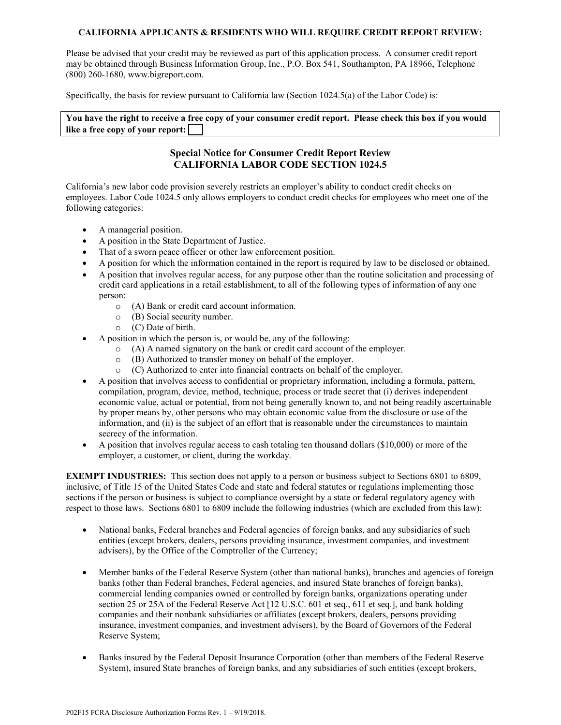### **CALIFORNIA APPLICANTS & RESIDENTS WHO WILL REQUIRE CREDIT REPORT REVIEW:**

Please be advised that your credit may be reviewed as part of this application process. A consumer credit report may be obtained through Business Information Group, Inc., P.O. Box 541, Southampton, PA 18966, Telephone (800) 260-1680, www.bigreport.com.

Specifically, the basis for review pursuant to California law (Section 1024.5(a) of the Labor Code) is:

| You have the right to receive a free copy of your consumer credit report. Please check this box if you would |  |
|--------------------------------------------------------------------------------------------------------------|--|
| like a free copy of your report: $\Box$                                                                      |  |

# **Special Notice for Consumer Credit Report Review CALIFORNIA LABOR CODE SECTION 1024.5**

California's new labor code provision severely restricts an employer's ability to conduct credit checks on employees. Labor Code 1024.5 only allows employers to conduct credit checks for employees who meet one of the following categories:

- A managerial position.
- A position in the State Department of Justice.
- That of a sworn peace officer or other law enforcement position.
- A position for which the information contained in the report is required by law to be disclosed or obtained.
- A position that involves regular access, for any purpose other than the routine solicitation and processing of credit card applications in a retail establishment, to all of the following types of information of any one person:
	- o (A) Bank or credit card account information.
	- o (B) Social security number.
	- o (C) Date of birth.
- A position in which the person is, or would be, any of the following:
	- o (A) A named signatory on the bank or credit card account of the employer.
	- $\circ$  (B) Authorized to transfer money on behalf of the employer.<br>  $\circ$  (C) Authorized to enter into financial contracts on behalf of t
	- (C) Authorized to enter into financial contracts on behalf of the employer.
- A position that involves access to confidential or proprietary information, including a formula, pattern, compilation, program, device, method, technique, process or trade secret that (i) derives independent economic value, actual or potential, from not being generally known to, and not being readily ascertainable by proper means by, other persons who may obtain economic value from the disclosure or use of the information, and (ii) is the subject of an effort that is reasonable under the circumstances to maintain secrecy of the information.
- A position that involves regular access to cash totaling ten thousand dollars  $(\$10,000)$  or more of the employer, a customer, or client, during the workday.

**EXEMPT INDUSTRIES:** This section does not apply to a person or business subject to Sections 6801 to 6809, inclusive, of Title 15 of the United States Code and state and federal statutes or regulations implementing those sections if the person or business is subject to compliance oversight by a state or federal regulatory agency with respect to those laws. Sections 6801 to 6809 include the following industries (which are excluded from this law):

- National banks, Federal branches and Federal agencies of foreign banks, and any subsidiaries of such entities (except brokers, dealers, persons providing insurance, investment companies, and investment advisers), by the Office of the Comptroller of the Currency;
- Member banks of the Federal Reserve System (other than national banks), branches and agencies of foreign banks (other than Federal branches, Federal agencies, and insured State branches of foreign banks), commercial lending companies owned or controlled by foreign banks, organizations operating under section 25 or 25A of the Federal Reserve Act [12 U.S.C. 601 et seq., 611 et seq.], and bank holding companies and their nonbank subsidiaries or affiliates (except brokers, dealers, persons providing insurance, investment companies, and investment advisers), by the Board of Governors of the Federal Reserve System;
- Banks insured by the Federal Deposit Insurance Corporation (other than members of the Federal Reserve System), insured State branches of foreign banks, and any subsidiaries of such entities (except brokers,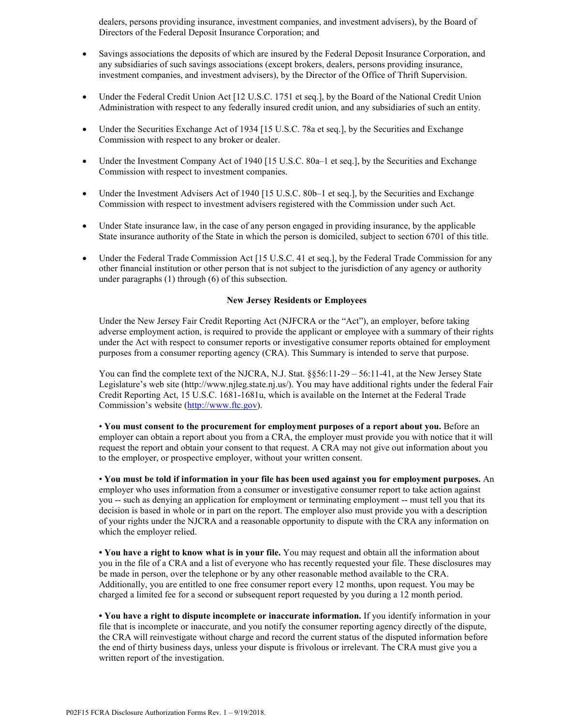dealers, persons providing insurance, investment companies, and investment advisers), by the Board of Directors of the Federal Deposit Insurance Corporation; and

- Savings associations the deposits of which are insured by the Federal Deposit Insurance Corporation, and any subsidiaries of such savings associations (except brokers, dealers, persons providing insurance, investment companies, and investment advisers), by the Director of the Office of Thrift Supervision.
- Under the Federal Credit Union Act [12 U.S.C. 1751 et seq.], by the Board of the National Credit Union Administration with respect to any federally insured credit union, and any subsidiaries of such an entity.
- Under the Securities Exchange Act of 1934 [15 U.S.C. 78a et seq.], by the Securities and Exchange Commission with respect to any broker or dealer.
- Under the Investment Company Act of 1940 [15 U.S.C. 80a–1 et seq.], by the Securities and Exchange Commission with respect to investment companies.
- Under the Investment Advisers Act of 1940 [15 U.S.C. 80b–1 et seq.], by the Securities and Exchange Commission with respect to investment advisers registered with the Commission under such Act.
- Under State insurance law, in the case of any person engaged in providing insurance, by the applicable State insurance authority of the State in which the person is domiciled, subject to section 6701 of this title.
- Under the Federal Trade Commission Act [15 U.S.C. 41 et seq.], by the Federal Trade Commission for any other financial institution or other person that is not subject to the jurisdiction of any agency or authority under paragraphs (1) through (6) of this subsection.

#### **New Jersey Residents or Employees**

Under the New Jersey Fair Credit Reporting Act (NJFCRA or the "Act"), an employer, before taking adverse employment action, is required to provide the applicant or employee with a summary of their rights under the Act with respect to consumer reports or investigative consumer reports obtained for employment purposes from a consumer reporting agency (CRA). This Summary is intended to serve that purpose.

You can find the complete text of the NJCRA, N.J. Stat. §§56:11-29 – 56:11-41, at the New Jersey State Legislature's web site (http://www.njleg.state.nj.us/). You may have additional rights under the federal Fair Credit Reporting Act, 15 U.S.C. 1681-1681u, which is available on the Internet at the Federal Trade Commission's website [\(http://www.ftc.gov\)](http://www.ftc.gov/).

• **You must consent to the procurement for employment purposes of a report about you.** Before an employer can obtain a report about you from a CRA, the employer must provide you with notice that it will request the report and obtain your consent to that request. A CRA may not give out information about you to the employer, or prospective employer, without your written consent.

• **You must be told if information in your file has been used against you for employment purposes.** An employer who uses information from a consumer or investigative consumer report to take action against you -- such as denying an application for employment or terminating employment -- must tell you that its decision is based in whole or in part on the report. The employer also must provide you with a description of your rights under the NJCRA and a reasonable opportunity to dispute with the CRA any information on which the employer relied.

**• You have a right to know what is in your file.** You may request and obtain all the information about you in the file of a CRA and a list of everyone who has recently requested your file. These disclosures may be made in person, over the telephone or by any other reasonable method available to the CRA. Additionally, you are entitled to one free consumer report every 12 months, upon request. You may be charged a limited fee for a second or subsequent report requested by you during a 12 month period.

**• You have a right to dispute incomplete or inaccurate information.** If you identify information in your file that is incomplete or inaccurate, and you notify the consumer reporting agency directly of the dispute, the CRA will reinvestigate without charge and record the current status of the disputed information before the end of thirty business days, unless your dispute is frivolous or irrelevant. The CRA must give you a written report of the investigation.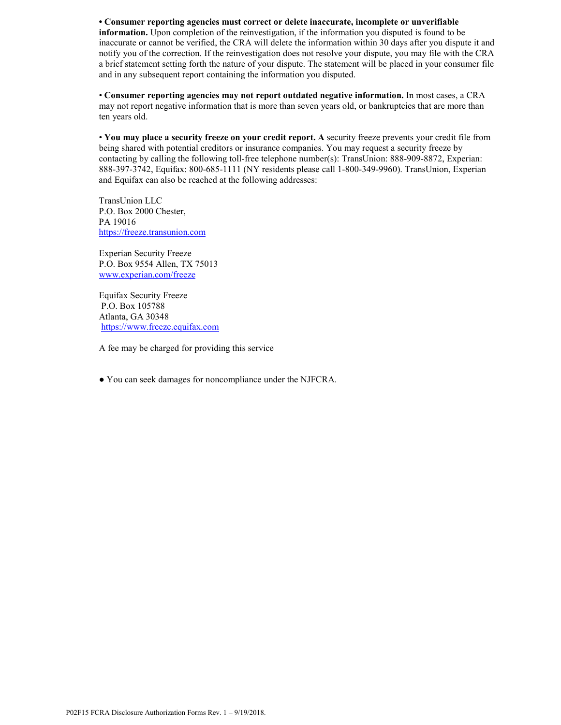**• Consumer reporting agencies must correct or delete inaccurate, incomplete or unverifiable information.** Upon completion of the reinvestigation, if the information you disputed is found to be inaccurate or cannot be verified, the CRA will delete the information within 30 days after you dispute it and notify you of the correction. If the reinvestigation does not resolve your dispute, you may file with the CRA a brief statement setting forth the nature of your dispute. The statement will be placed in your consumer file and in any subsequent report containing the information you disputed.

• **Consumer reporting agencies may not report outdated negative information.** In most cases, a CRA may not report negative information that is more than seven years old, or bankruptcies that are more than ten years old.

• **You may place a security freeze on your credit report. A** security freeze prevents your credit file from being shared with potential creditors or insurance companies. You may request a security freeze by contacting by calling the following toll-free telephone number(s): TransUnion: 888-909-8872, Experian: 888-397-3742, Equifax: 800-685-1111 (NY residents please call 1-800-349-9960). TransUnion, Experian and Equifax can also be reached at the following addresses:

TransUnion LLC P.O. Box 2000 Chester, PA 19016 [https://freeze.transunion.com](https://freeze.transunion.com/)

Experian Security Freeze P.O. Box 9554 Allen, TX 75013 [www.experian.com/freeze](http://www.experian.com/freeze)

Equifax Security Freeze P.O. Box 105788 Atlanta, GA 30348 [https://www.freeze.equifax.com](https://www.freeze.equifax.com/)

A fee may be charged for providing this service

● You can seek damages for noncompliance under the NJFCRA.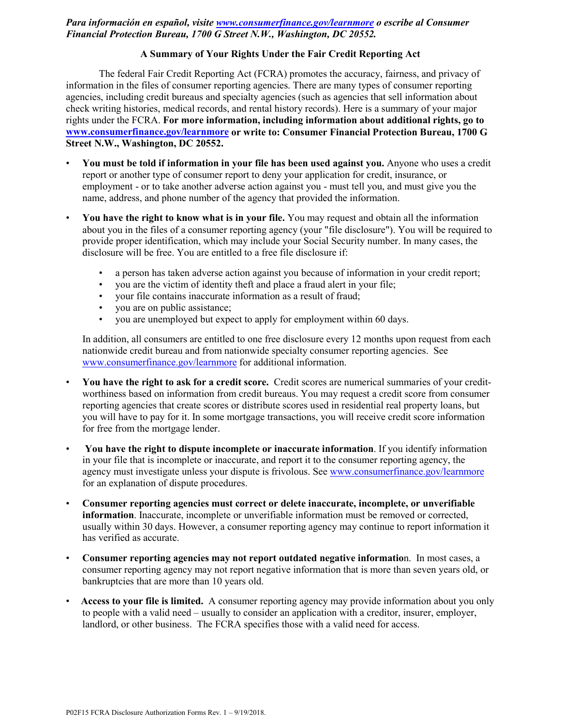## *Para información en español, visite [www.consumerfinance.gov/learnmore](http://www.consumerfinance.gov/learnmore) o escribe al Consumer Financial Protection Bureau, 1700 G Street N.W., Washington, DC 20552.*

## **A Summary of Your Rights Under the Fair Credit Reporting Act**

The federal Fair Credit Reporting Act (FCRA) promotes the accuracy, fairness, and privacy of information in the files of consumer reporting agencies. There are many types of consumer reporting agencies, including credit bureaus and specialty agencies (such as agencies that sell information about check writing histories, medical records, and rental history records). Here is a summary of your major rights under the FCRA. **For more information, including information about additional rights, go to [www.consumerfinance.gov/learnmore](http://www.consumerfinance.gov/learnmore) or write to: Consumer Financial Protection Bureau, 1700 G Street N.W., Washington, DC 20552.**

- **You must be told if information in your file has been used against you.** Anyone who uses a credit report or another type of consumer report to deny your application for credit, insurance, or employment - or to take another adverse action against you - must tell you, and must give you the name, address, and phone number of the agency that provided the information.
- **You have the right to know what is in your file.** You may request and obtain all the information about you in the files of a consumer reporting agency (your "file disclosure"). You will be required to provide proper identification, which may include your Social Security number. In many cases, the disclosure will be free. You are entitled to a free file disclosure if:
	- a person has taken adverse action against you because of information in your credit report;
	- you are the victim of identity theft and place a fraud alert in your file;
	- your file contains inaccurate information as a result of fraud;
	- you are on public assistance;
	- you are unemployed but expect to apply for employment within 60 days.

In addition, all consumers are entitled to one free disclosure every 12 months upon request from each nationwide credit bureau and from nationwide specialty consumer reporting agencies. See [www.consumerfinance.gov/learnmore](http://www.consumerfinance.gov/learnmore) for additional information.

- **You have the right to ask for a credit score.** Credit scores are numerical summaries of your creditworthiness based on information from credit bureaus. You may request a credit score from consumer reporting agencies that create scores or distribute scores used in residential real property loans, but you will have to pay for it. In some mortgage transactions, you will receive credit score information for free from the mortgage lender.
- **You have the right to dispute incomplete or inaccurate information**. If you identify information in your file that is incomplete or inaccurate, and report it to the consumer reporting agency, the agency must investigate unless your dispute is frivolous. See [www.consumerfinance.gov/learnmore](http://www.consumerfinance.gov/learnmore) for an explanation of dispute procedures.
- **Consumer reporting agencies must correct or delete inaccurate, incomplete, or unverifiable information**. Inaccurate, incomplete or unverifiable information must be removed or corrected, usually within 30 days. However, a consumer reporting agency may continue to report information it has verified as accurate.
- **Consumer reporting agencies may not report outdated negative informatio**n. In most cases, a consumer reporting agency may not report negative information that is more than seven years old, or bankruptcies that are more than 10 years old.
- **Access to your file is limited.** A consumer reporting agency may provide information about you only to people with a valid need – usually to consider an application with a creditor, insurer, employer, landlord, or other business. The FCRA specifies those with a valid need for access.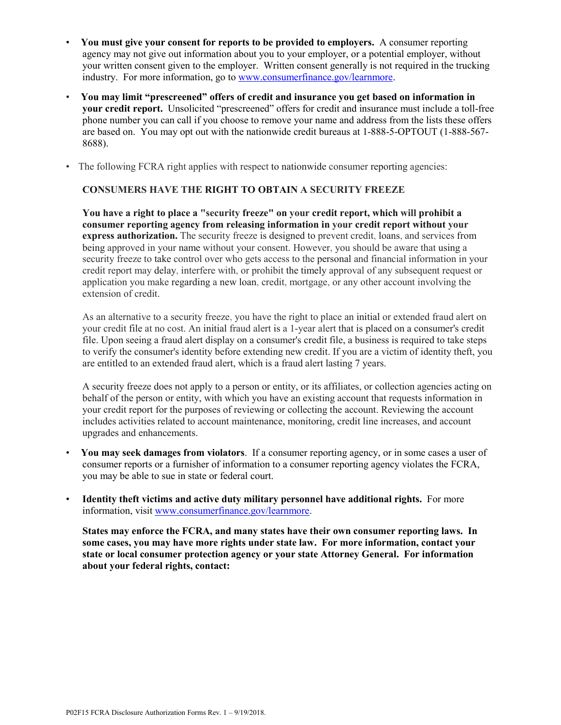- **You must give your consent for reports to be provided to employers.** A consumer reporting agency may not give out information about you to your employer, or a potential employer, without your written consent given to the employer. Written consent generally is not required in the trucking industry. For more information, go to [www.consumerfinance.gov/learnmore.](http://www.consumerfinance.gov/learnmore)
- **You may limit "prescreened" offers of credit and insurance you get based on information in your credit report.** Unsolicited "prescreened" offers for credit and insurance must include a toll-free phone number you can call if you choose to remove your name and address from the lists these offers are based on. You may opt out with the nationwide credit bureaus at 1-888-5-OPTOUT (1-888-567- 8688).
- The following FCRA right applies with respect to nationwide consumer reporting agencies:

# **CONSUMERS HAVE THE RIGHT TO OBTAIN A SECURITY FREEZE**

**You have a right to place a "security freeze" on your credit report, which will prohibit a consumer reporting agency from releasing information in your credit report without your express authorization.** The security freeze is designed to prevent credit, loans, and services from being approved in your name without your consent. However, you should be aware that using a security freeze to take control over who gets access to the personal and financial information in your credit report may delay, interfere with, or prohibit the timely approval of any subsequent request or application you make regarding a new loan, credit, mortgage, or any other account involving the extension of credit.

As an alternative to a security freeze, you have the right to place an initial or extended fraud alert on your credit file at no cost. An initial fraud alert is a 1-year alert that is placed on a consumer's credit file. Upon seeing a fraud alert display on a consumer's credit file, a business is required to take steps to verify the consumer's identity before extending new credit. If you are a victim of identity theft, you are entitled to an extended fraud alert, which is a fraud alert lasting 7 years.

A security freeze does not apply to a person or entity, or its affiliates, or collection agencies acting on behalf of the person or entity, with which you have an existing account that requests information in your credit report for the purposes of reviewing or collecting the account. Reviewing the account includes activities related to account maintenance, monitoring, credit line increases, and account upgrades and enhancements.

- **You may seek damages from violators**. If a consumer reporting agency, or in some cases a user of consumer reports or a furnisher of information to a consumer reporting agency violates the FCRA, you may be able to sue in state or federal court.
- **Identity theft victims and active duty military personnel have additional rights.** For more information, visit [www.consumerfinance.gov/learnmore.](http://www.consumerfinance.gov/learnmore)

**States may enforce the FCRA, and many states have their own consumer reporting laws. In some cases, you may have more rights under state law. For more information, contact your state or local consumer protection agency or your state Attorney General. For information about your federal rights, contact:**